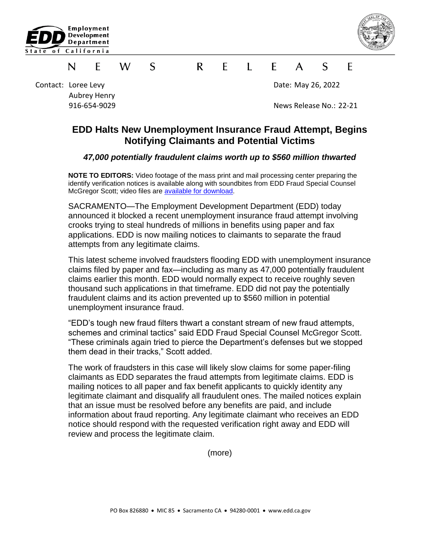



## S.  $\mathsf{R}$  $\mathsf{F}$  $\mathbf{L}$   $\mathbf{F}$  $\mathcal{S}$ F W  $\mathsf{A}$ F N

Contact: Loree Levy **Date: May 26, 2022** Aubrey Henry

916-654-9029 News Release No.: 22-21

## **EDD Halts New Unemployment Insurance Fraud Attempt, Begins Notifying Claimants and Potential Victims**

## *47,000 potentially fraudulent claims worth up to \$560 million thwarted*

**NOTE TO EDITORS:** Video footage of the mass print and mail processing center preparing the identify verification notices is available along with soundbites from EDD Fraud Special Counsel McGregor Scott; video files are [available for download.](https://vimeo.com/user110833892/download/713878832/61d9cdf13f)

SACRAMENTO—The Employment Development Department (EDD) today announced it blocked a recent unemployment insurance fraud attempt involving crooks trying to steal hundreds of millions in benefits using paper and fax applications. EDD is now mailing notices to claimants to separate the fraud attempts from any legitimate claims.

This latest scheme involved fraudsters flooding EDD with unemployment insurance claims filed by paper and fax—including as many as 47,000 potentially fraudulent claims earlier this month. EDD would normally expect to receive roughly seven thousand such applications in that timeframe. EDD did not pay the potentially fraudulent claims and its action prevented up to \$560 million in potential unemployment insurance fraud.

"EDD's tough new fraud filters thwart a constant stream of new fraud attempts, schemes and criminal tactics" said EDD Fraud Special Counsel McGregor Scott. "These criminals again tried to pierce the Department's defenses but we stopped them dead in their tracks," Scott added.

The work of fraudsters in this case will likely slow claims for some paper-filing claimants as EDD separates the fraud attempts from legitimate claims. EDD is mailing notices to all paper and fax benefit applicants to quickly identity any legitimate claimant and disqualify all fraudulent ones. The mailed notices explain that an issue must be resolved before any benefits are paid, and include information about fraud reporting. Any legitimate claimant who receives an EDD notice should respond with the requested verification right away and EDD will review and process the legitimate claim.

(more)